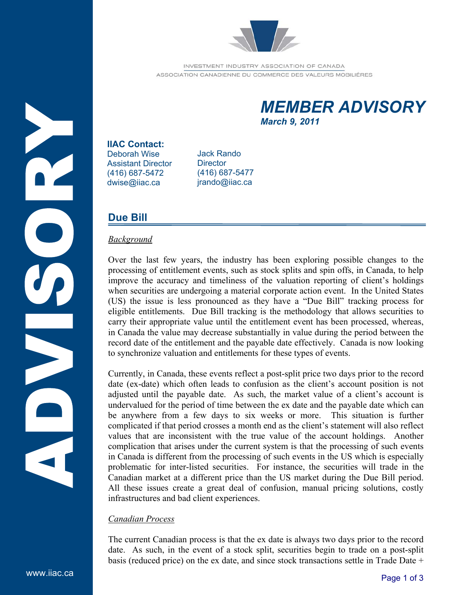

INVESTMENT INDUSTRY ASSOCIATION OF CANADA ASSOCIATION CANADIENNE DU COMMERCE DES VALEURS MOBILIÉRES

# *MEMBER ADVISORY March 9, 2011*

### **IIAC Contact:**

Deborah Wise Assistant Director (416) 687-5472 dwise@iiac.ca

Jack Rando **Director** (416) 687-5477 jrando@iiac.ca

# **Due Bill**

# *Background*

Over the last few years, the industry has been exploring possible changes to the processing of entitlement events, such as stock splits and spin offs, in Canada, to help improve the accuracy and timeliness of the valuation reporting of client's holdings when securities are undergoing a material corporate action event. In the United States (US) the issue is less pronounced as they have a "Due Bill" tracking process for eligible entitlements. Due Bill tracking is the methodology that allows securities to carry their appropriate value until the entitlement event has been processed, whereas, in Canada the value may decrease substantially in value during the period between the record date of the entitlement and the payable date effectively. Canada is now looking to synchronize valuation and entitlements for these types of events.

Currently, in Canada, these events reflect a post-split price two days prior to the record date (ex-date) which often leads to confusion as the client's account position is not adjusted until the payable date. As such, the market value of a client's account is undervalued for the period of time between the ex date and the payable date which can be anywhere from a few days to six weeks or more. This situation is further complicated if that period crosses a month end as the client's statement will also reflect values that are inconsistent with the true value of the account holdings. Another complication that arises under the current system is that the processing of such events in Canada is different from the processing of such events in the US which is especially problematic for inter-listed securities. For instance, the securities will trade in the Canadian market at a different price than the US market during the Due Bill period. All these issues create a great deal of confusion, manual pricing solutions, costly infrastructures and bad client experiences.

# *Canadian Process*

The current Canadian process is that the ex date is always two days prior to the record date. As such, in the event of a stock split, securities begin to trade on a post-split basis (reduced price) on the ex date, and since stock transactions settle in Trade Date +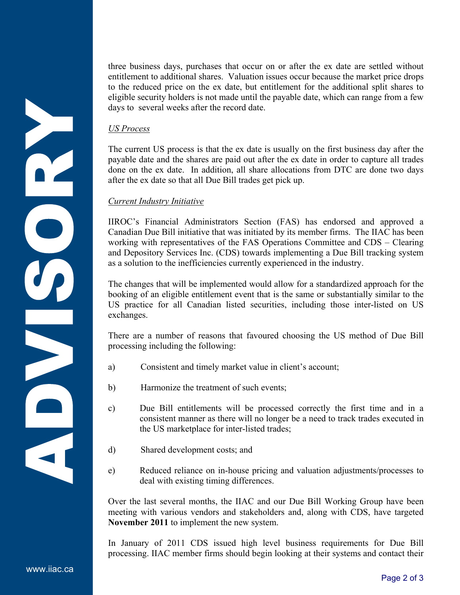three business days, purchases that occur on or after the ex date are settled without entitlement to additional shares. Valuation issues occur because the market price drops to the reduced price on the ex date, but entitlement for the additional split shares to eligible security holders is not made until the payable date, which can range from a few days to several weeks after the record date.

### *US Process*

The current US process is that the ex date is usually on the first business day after the payable date and the shares are paid out after the ex date in order to capture all trades done on the ex date. In addition, all share allocations from DTC are done two days after the ex date so that all Due Bill trades get pick up.

### *Current Industry Initiative*

IIROC's Financial Administrators Section (FAS) has endorsed and approved a Canadian Due Bill initiative that was initiated by its member firms. The IIAC has been working with representatives of the FAS Operations Committee and CDS – Clearing and Depository Services Inc. (CDS) towards implementing a Due Bill tracking system as a solution to the inefficiencies currently experienced in the industry.

The changes that will be implemented would allow for a standardized approach for the booking of an eligible entitlement event that is the same or substantially similar to the US practice for all Canadian listed securities, including those inter-listed on US exchanges.

There are a number of reasons that favoured choosing the US method of Due Bill processing including the following:

- a) Consistent and timely market value in client's account;
- b) Harmonize the treatment of such events;
- c) Due Bill entitlements will be processed correctly the first time and in a consistent manner as there will no longer be a need to track trades executed in the US marketplace for inter-listed trades;
- d) Shared development costs; and
- e) Reduced reliance on in-house pricing and valuation adjustments/processes to deal with existing timing differences.

Over the last several months, the IIAC and our Due Bill Working Group have been meeting with various vendors and stakeholders and, along with CDS, have targeted **November 2011** to implement the new system.

In January of 2011 CDS issued high level business requirements for Due Bill processing. IIAC member firms should begin looking at their systems and contact their